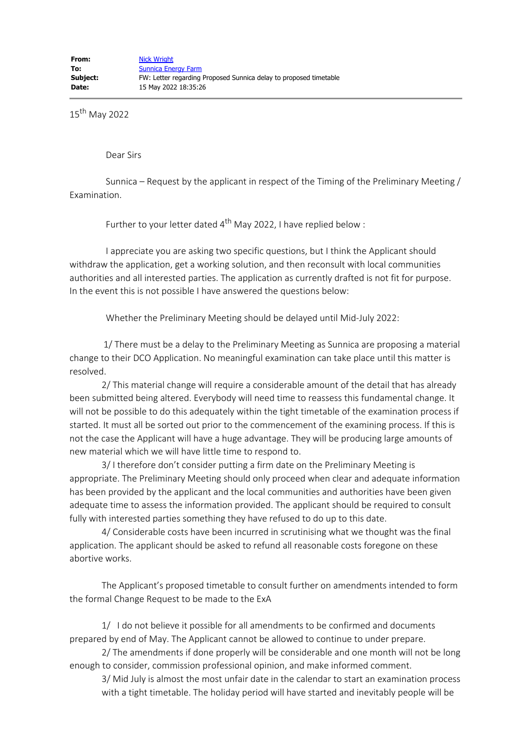15th May 2022

Dear Sirs

 Sunnica – Request by the applicant in respect of the Timing of the Preliminary Meeting / Examination.

Further to your letter dated  $4^{th}$  May 2022, I have replied below :

 I appreciate you are asking two specific questions, but I think the Applicant should withdraw the application, get a working solution, and then reconsult with local communities authorities and all interested parties. The application as currently drafted is not fit for purpose. In the event this is not possible I have answered the questions below:

Whether the Preliminary Meeting should be delayed until Mid-July 2022:

 1/ There must be a delay to the Preliminary Meeting as Sunnica are proposing a material change to their DCO Application. No meaningful examination can take place until this matter is resolved.

2/ This material change will require a considerable amount of the detail that has already been submitted being altered. Everybody will need time to reassess this fundamental change. It will not be possible to do this adequately within the tight timetable of the examination process if started. It must all be sorted out prior to the commencement of the examining process. If this is not the case the Applicant will have a huge advantage. They will be producing large amounts of new material which we will have little time to respond to.

3/ I therefore don't consider putting a firm date on the Preliminary Meeting is appropriate. The Preliminary Meeting should only proceed when clear and adequate information has been provided by the applicant and the local communities and authorities have been given adequate time to assess the information provided. The applicant should be required to consult fully with interested parties something they have refused to do up to this date.

4/ Considerable costs have been incurred in scrutinising what we thought was the final application. The applicant should be asked to refund all reasonable costs foregone on these abortive works.

The Applicant's proposed timetable to consult further on amendments intended to form the formal Change Request to be made to the ExA

1/ I do not believe it possible for all amendments to be confirmed and documents prepared by end of May. The Applicant cannot be allowed to continue to under prepare.

2/ The amendments if done properly will be considerable and one month will not be long enough to consider, commission professional opinion, and make informed comment.

3/ Mid July is almost the most unfair date in the calendar to start an examination process with a tight timetable. The holiday period will have started and inevitably people will be